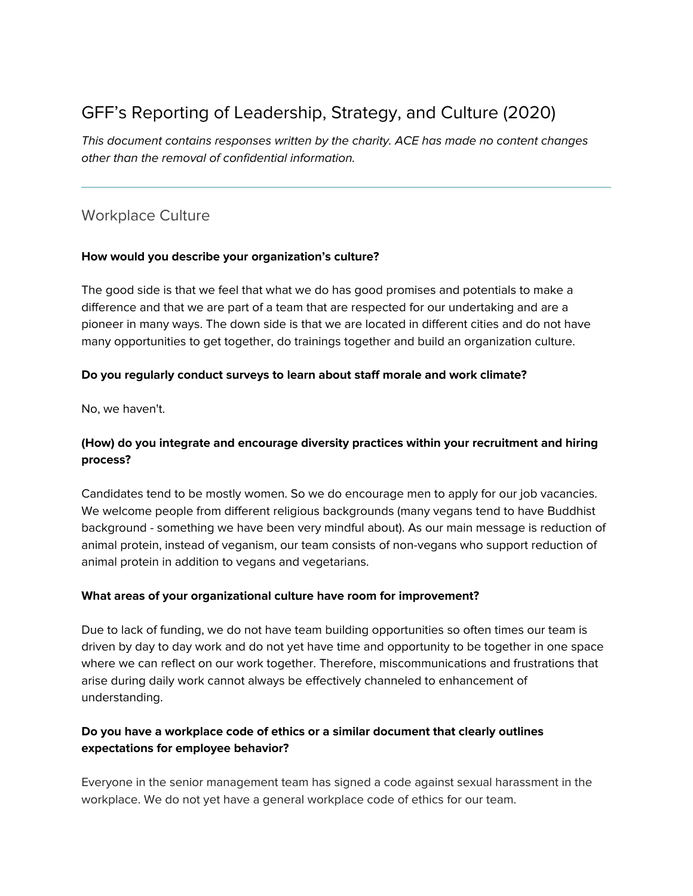# GFF's Reporting of Leadership, Strategy, and Culture (2020)

This document contains responses written by the charity. ACE has made no content changes other than the removal of confidential information.

# Workplace Culture

#### **How would you describe your organization's culture?**

The good side is that we feel that what we do has good promises and potentials to make a difference and that we are part of a team that are respected for our undertaking and are a pioneer in many ways. The down side is that we are located in different cities and do not have many opportunities to get together, do trainings together and build an organization culture.

#### **Do you regularly conduct surveys to learn about staff morale and work climate?**

No, we haven't.

# **(How) do you integrate and encourage diversity practices within your recruitment and hiring process?**

Candidates tend to be mostly women. So we do encourage men to apply for our job vacancies. We welcome people from different religious backgrounds (many vegans tend to have Buddhist background - something we have been very mindful about). As our main message is reduction of animal protein, instead of veganism, our team consists of non-vegans who support reduction of animal protein in addition to vegans and vegetarians.

#### **What areas of your organizational culture have room for improvement?**

Due to lack of funding, we do not have team building opportunities so often times our team is driven by day to day work and do not yet have time and opportunity to be together in one space where we can reflect on our work together. Therefore, miscommunications and frustrations that arise during daily work cannot always be effectively channeled to enhancement of understanding.

## **Do you have a workplace code of ethics or a similar document that clearly outlines expectations for employee behavior?**

Everyone in the senior management team has signed a code against sexual harassment in the workplace. We do not yet have a general workplace code of ethics for our team.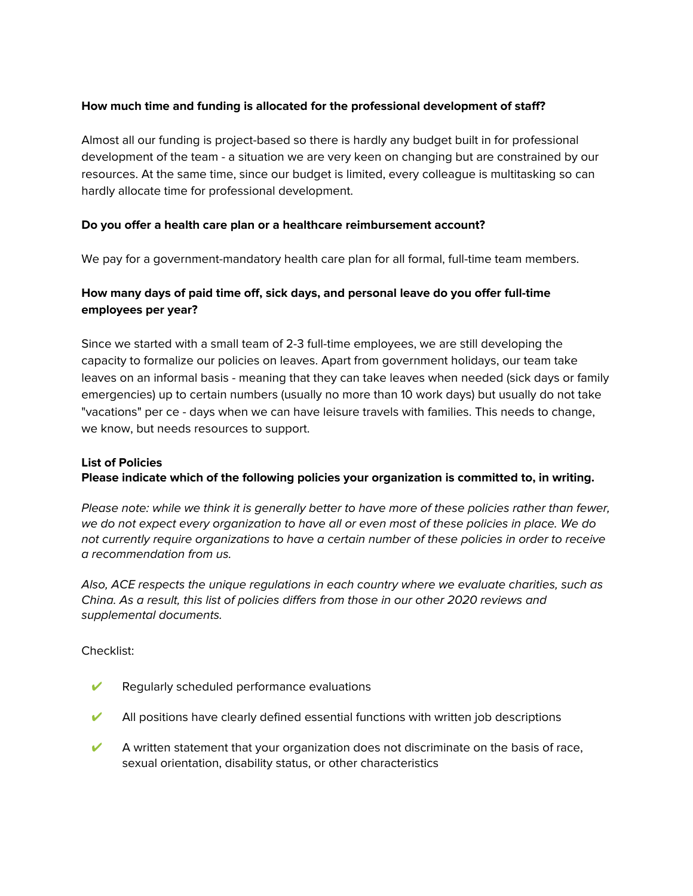## **How much time and funding is allocated for the professional development of staff?**

Almost all our funding is project-based so there is hardly any budget built in for professional development of the team - a situation we are very keen on changing but are constrained by our resources. At the same time, since our budget is limited, every colleague is multitasking so can hardly allocate time for professional development.

#### **Do you offer a health care plan or a healthcare reimbursement account?**

We pay for a government-mandatory health care plan for all formal, full-time team members.

# **How many days of paid time off, sick days, and personal leave do you offer full-time employees per year?**

Since we started with a small team of 2-3 full-time employees, we are still developing the capacity to formalize our policies on leaves. Apart from government holidays, our team take leaves on an informal basis - meaning that they can take leaves when needed (sick days or family emergencies) up to certain numbers (usually no more than 10 work days) but usually do not take "vacations" per ce - days when we can have leisure travels with families. This needs to change, we know, but needs resources to support.

#### **List of Policies**

**Please indicate which of the following policies your organization is committed to, in writing.**

Please note: while we think it is generally better to have more of these policies rather than fewer, we do not expect every organization to have all or even most of these policies in place. We do not currently require organizations to have a certain number of these policies in order to receive a recommendation from us.

Also, ACE respects the unique regulations in each country where we evaluate charities, such as China. As a result, this list of policies differs from those in our other 2020 reviews and supplemental documents.

#### Checklist:

- $\triangleright$  Regularly scheduled performance evaluations
- All positions have clearly defined essential functions with written job descriptions
- $\blacktriangleright$  A written statement that your organization does not discriminate on the basis of race, sexual orientation, disability status, or other characteristics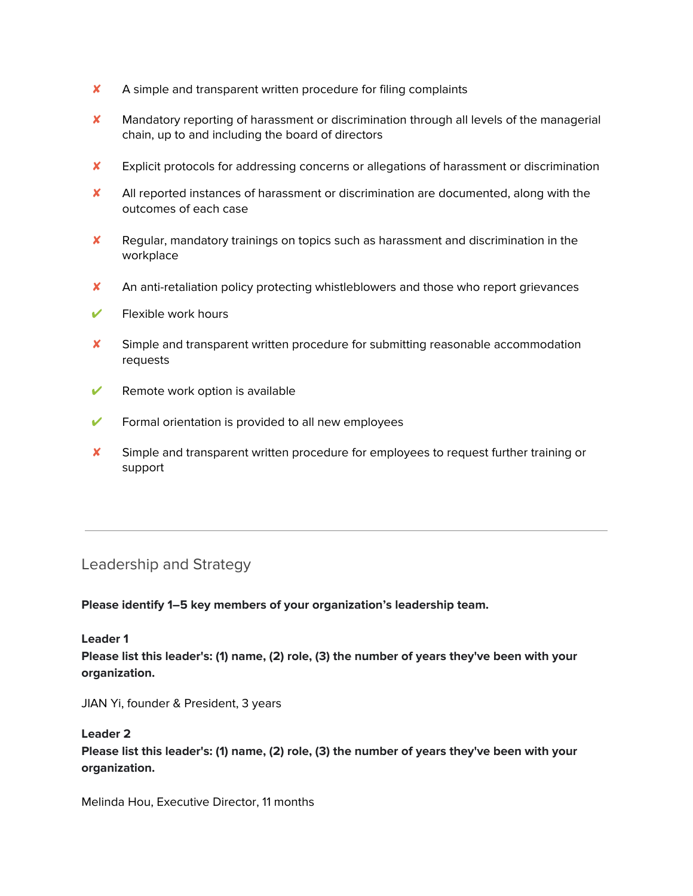- ✘ A simple and transparent written procedure for filing complaints
- ✘ Mandatory reporting of harassment or discrimination through all levels of the managerial chain, up to and including the board of directors
- ✘ Explicit protocols for addressing concerns or allegations of harassment or discrimination
- ✘ All reported instances of harassment or discrimination are documented, along with the outcomes of each case
- ✘ Regular, mandatory trainings on topics such as harassment and discrimination in the workplace
- ✘ An anti-retaliation policy protecting whistleblowers and those who report grievances
- $\triangleright$  Flexible work hours
- ✘ Simple and transparent written procedure for submitting reasonable accommodation requests
- $\mathcal V$  Remote work option is available
- $\triangleright$  Formal orientation is provided to all new employees
- ✘ Simple and transparent written procedure for employees to request further training or support

# Leadership and Strategy

#### **Please identify 1–5 key members of your organization's leadership team.**

#### **Leader 1**

**Please list this leader's: (1) name, (2) role, (3) the number of years they've been with your organization.**

JIAN Yi, founder & President, 3 years

#### **Leader 2**

**Please list this leader's: (1) name, (2) role, (3) the number of years they've been with your organization.**

Melinda Hou, Executive Director, 11 months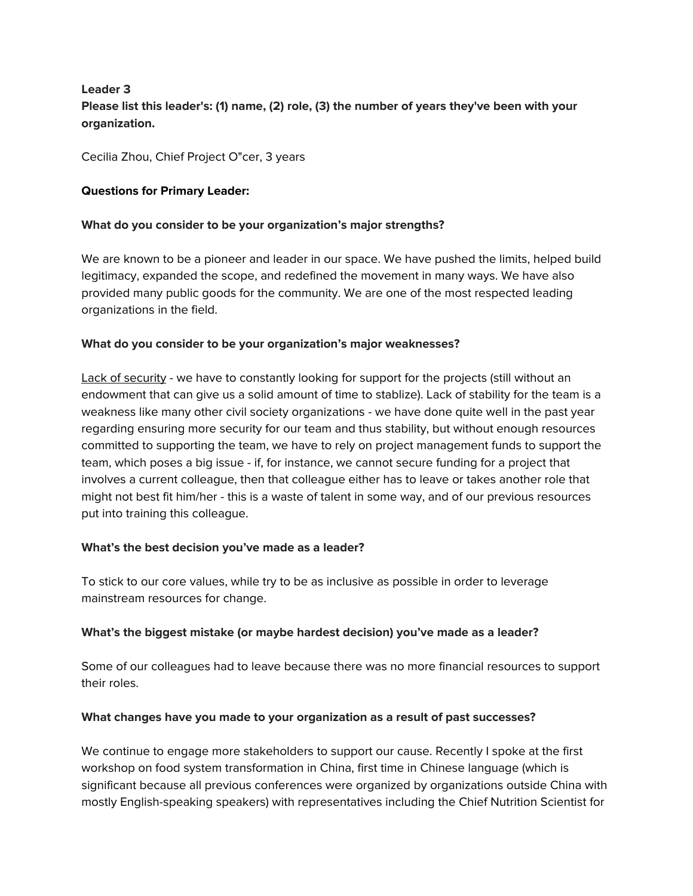# **Leader 3 Please list this leader's: (1) name, (2) role, (3) the number of years they've been with your organization.**

Cecilia Zhou, Chief Project O"cer, 3 years

#### **Questions for Primary Leader:**

#### **What do you consider to be your organization's major strengths?**

We are known to be a pioneer and leader in our space. We have pushed the limits, helped build legitimacy, expanded the scope, and redefined the movement in many ways. We have also provided many public goods for the community. We are one of the most respected leading organizations in the field.

#### **What do you consider to be your organization's major weaknesses?**

Lack of security - we have to constantly looking for support for the projects (still without an endowment that can give us a solid amount of time to stablize). Lack of stability for the team is a weakness like many other civil society organizations - we have done quite well in the past year regarding ensuring more security for our team and thus stability, but without enough resources committed to supporting the team, we have to rely on project management funds to support the team, which poses a big issue - if, for instance, we cannot secure funding for a project that involves a current colleague, then that colleague either has to leave or takes another role that might not best fit him/her - this is a waste of talent in some way, and of our previous resources put into training this colleague.

#### **What's the best decision you've made as a leader?**

To stick to our core values, while try to be as inclusive as possible in order to leverage mainstream resources for change.

#### **What's the biggest mistake (or maybe hardest decision) you've made as a leader?**

Some of our colleagues had to leave because there was no more financial resources to support their roles.

#### **What changes have you made to your organization as a result of past successes?**

We continue to engage more stakeholders to support our cause. Recently I spoke at the first workshop on food system transformation in China, first time in Chinese language (which is significant because all previous conferences were organized by organizations outside China with mostly English-speaking speakers) with representatives including the Chief Nutrition Scientist for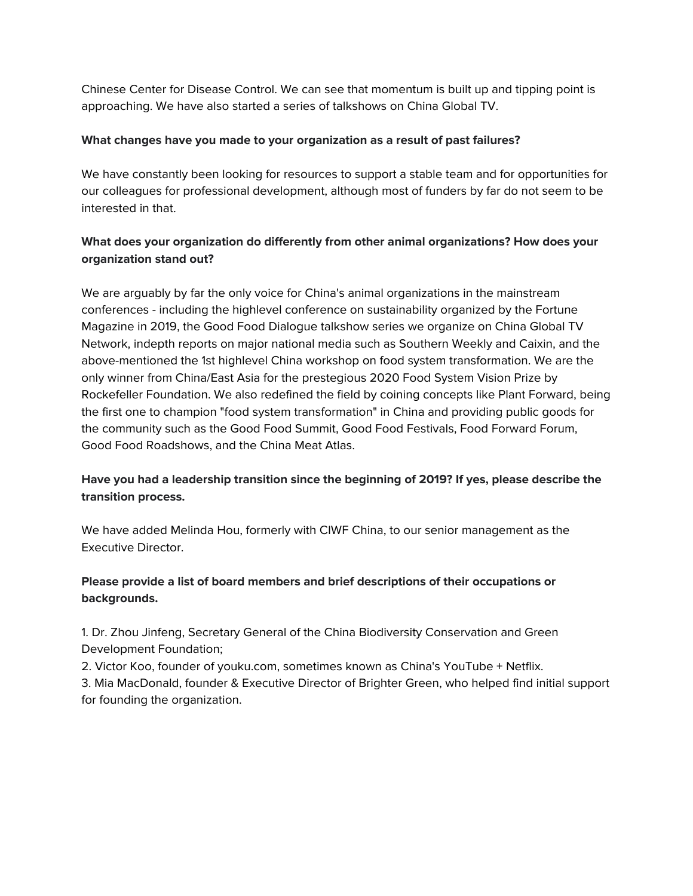Chinese Center for Disease Control. We can see that momentum is built up and tipping point is approaching. We have also started a series of talkshows on China Global TV.

## **What changes have you made to your organization as a result of past failures?**

We have constantly been looking for resources to support a stable team and for opportunities for our colleagues for professional development, although most of funders by far do not seem to be interested in that.

# **What does your organization do differently from other animal organizations? How does your organization stand out?**

We are arguably by far the only voice for China's animal organizations in the mainstream conferences - including the highlevel conference on sustainability organized by the Fortune Magazine in 2019, the Good Food Dialogue talkshow series we organize on China Global TV Network, indepth reports on major national media such as Southern Weekly and Caixin, and the above-mentioned the 1st highlevel China workshop on food system transformation. We are the only winner from China/East Asia for the prestegious 2020 Food System Vision Prize by Rockefeller Foundation. We also redefined the field by coining concepts like Plant Forward, being the first one to champion "food system transformation" in China and providing public goods for the community such as the Good Food Summit, Good Food Festivals, Food Forward Forum, Good Food Roadshows, and the China Meat Atlas.

# **Have you had a leadership transition since the beginning of 2019? If yes, please describe the transition process.**

We have added Melinda Hou, formerly with CIWF China, to our senior management as the Executive Director.

# **Please provide a list of board members and brief descriptions of their occupations or backgrounds.**

1. Dr. Zhou Jinfeng, Secretary General of the China Biodiversity Conservation and Green Development Foundation;

2. Victor Koo, founder of youku.com, sometimes known as China's YouTube + Netflix.

3. Mia MacDonald, founder & Executive Director of Brighter Green, who helped find initial support for founding the organization.